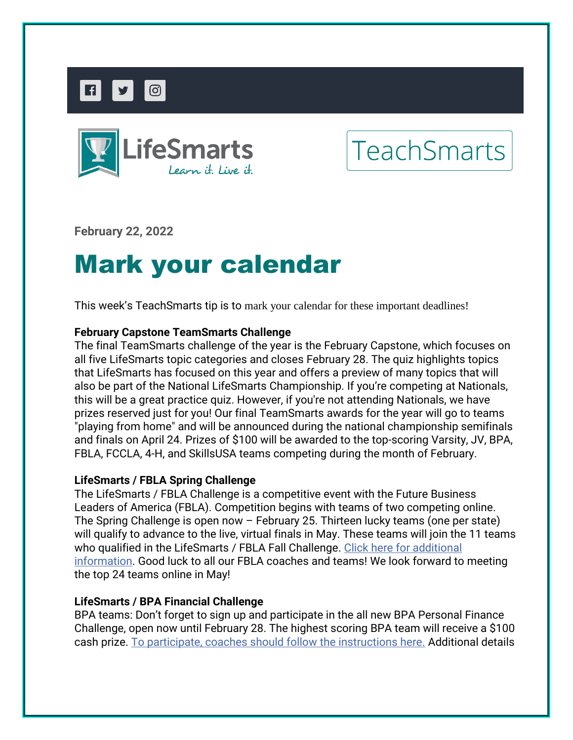



# **TeachSmarts**

**February 22, 2022** 

# Mark your calendar

This week's TeachSmarts tip is to mark your calendar for these important deadlines!

## **February Capstone TeamSmarts Challenge**

The final TeamSmarts challenge of the year is the February Capstone, which focuses on all five LifeSmarts topic categories and closes February 28. The quiz highlights topics that LifeSmarts has focused on this year and offers a preview of many topics that will also be part of the National LifeSmarts Championship. If you're competing at Nationals, this will be a great practice quiz. However, if you're not attending Nationals, we have prizes reserved just for you! Our final TeamSmarts awards for the year will go to teams "playing from home" and will be announced during the national championship semifinals and finals on April 24. Prizes of \$100 will be awarded to the top-scoring Varsity, JV, BPA, FBLA, FCCLA, 4-H, and SkillsUSA teams competing during the month of February.

### **LifeSmarts / FBLA Spring Challenge**

The LifeSmarts / FBLA Challenge is a competitive event with the Future Business Leaders of America (FBLA). Competition begins with teams of two competing online. The Spring Challenge is open now – February 25. Thirteen lucky teams (one per state) will qualify to advance to the live, virtual finals in May. These teams will join the 11 teams who qualified in the LifeSmarts / FBLA Fall Challenge. [Click here for additional](https://nam12.safelinks.protection.outlook.com/?url=https%3A%2F%2Fncl.lt.acemlnb.com%2FProd%2Flink-tracker%3FredirectUrl%3DaHR0cHMlM0ElMkYlMkZsaWZlc21hcnRzLm9yZyUyRmNvYWNoZXMlMkZuZXctY29hY2hlcy1mYmxhJTJG%26sig%3D6mpfNndeoMeyfAJmdDV6kaend2Gfkg8G9Jj5wYk2FnJV%26iat%3D1645543830%26a%3D%257C%257C650144105%257C%257C%26account%3Dncl.activehosted.com%26email%3DeYbL1xaVtEJR%252BpKpLRuB76yBgpvWDYICuRoV0Noifuk%253D%26s%3D710641c9b141b6cd453a904ecc82e258%26i%3D220A227A1A2766&data=04%7C01%7Ccherylv%40nclnet.org%7C30d7ed1da320486f5ea708d9f6184ff8%7C4e1d2f3fec00459892401b9071ab6582%7C1%7C1%7C637811406543893033%7CUnknown%7CTWFpbGZsb3d8eyJWIjoiMC4wLjAwMDAiLCJQIjoiV2luMzIiLCJBTiI6Ik1haWwiLCJXVCI6Mn0%3D%7C3000&sdata=DZxGKDv7qslVXsf%2BtG0CKMlk0RjZt804wf5EWtM%2FNxU%3D&reserved=0)  [information.](https://nam12.safelinks.protection.outlook.com/?url=https%3A%2F%2Fncl.lt.acemlnb.com%2FProd%2Flink-tracker%3FredirectUrl%3DaHR0cHMlM0ElMkYlMkZsaWZlc21hcnRzLm9yZyUyRmNvYWNoZXMlMkZuZXctY29hY2hlcy1mYmxhJTJG%26sig%3D6mpfNndeoMeyfAJmdDV6kaend2Gfkg8G9Jj5wYk2FnJV%26iat%3D1645543830%26a%3D%257C%257C650144105%257C%257C%26account%3Dncl.activehosted.com%26email%3DeYbL1xaVtEJR%252BpKpLRuB76yBgpvWDYICuRoV0Noifuk%253D%26s%3D710641c9b141b6cd453a904ecc82e258%26i%3D220A227A1A2766&data=04%7C01%7Ccherylv%40nclnet.org%7C30d7ed1da320486f5ea708d9f6184ff8%7C4e1d2f3fec00459892401b9071ab6582%7C1%7C1%7C637811406543893033%7CUnknown%7CTWFpbGZsb3d8eyJWIjoiMC4wLjAwMDAiLCJQIjoiV2luMzIiLCJBTiI6Ik1haWwiLCJXVCI6Mn0%3D%7C3000&sdata=DZxGKDv7qslVXsf%2BtG0CKMlk0RjZt804wf5EWtM%2FNxU%3D&reserved=0) Good luck to all our FBLA coaches and teams! We look forward to meeting the top 24 teams online in May!

### **LifeSmarts / BPA Financial Challenge**

BPA teams: Don't forget to sign up and participate in the all new BPA Personal Finance Challenge, open now until February 28. The highest scoring BPA team will receive a \$100 cash prize. [To participate, coaches should follow the instructions here.](https://nam12.safelinks.protection.outlook.com/?url=https%3A%2F%2Fncl.lt.acemlnb.com%2FProd%2Flink-tracker%3FredirectUrl%3DaHR0cHMlM0ElMkYlMkZsaWZlc21hcnRzLm9yZyUyRmJwYSUyRg%3D%3D%26sig%3D5RGyruEphKhM9YpNPVrQHLmXVRhAAqo4BAGzUpW7f7Y9%26iat%3D1645543830%26a%3D%257C%257C650144105%257C%257C%26account%3Dncl.activehosted.com%26email%3DeYbL1xaVtEJR%252BpKpLRuB76yBgpvWDYICuRoV0Noifuk%253D%26s%3D710641c9b141b6cd453a904ecc82e258%26i%3D220A227A1A2767&data=04%7C01%7Ccherylv%40nclnet.org%7C30d7ed1da320486f5ea708d9f6184ff8%7C4e1d2f3fec00459892401b9071ab6582%7C1%7C1%7C637811406543893033%7CUnknown%7CTWFpbGZsb3d8eyJWIjoiMC4wLjAwMDAiLCJQIjoiV2luMzIiLCJBTiI6Ik1haWwiLCJXVCI6Mn0%3D%7C3000&sdata=rxd1g%2FbOySYWqqlF9YcKQsU8%2BYKF6AXZv3NHtb6aEjE%3D&reserved=0) Additional details